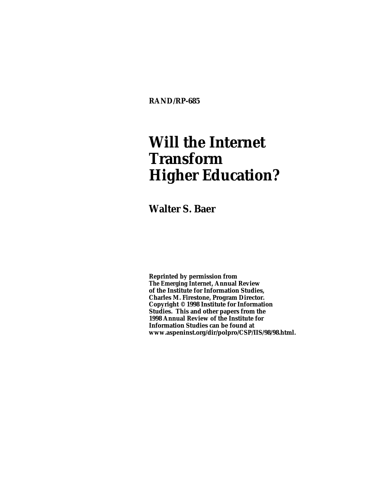**RAND/RP-685**

# **Will the Internet Transform Higher Education?**

**Walter S. Baer**

**Reprinted by permission from** *The Emerging Internet***, Annual Review of the Institute for Information Studies, Charles M. Firestone, Program Director. Copyright © 1998 Institute for Information Studies. This and other papers from the 1998 Annual Review of the Institute for Information Studies can be found at www.aspeninst.org/dir/polpro/CSP/IIS/98/98.html.**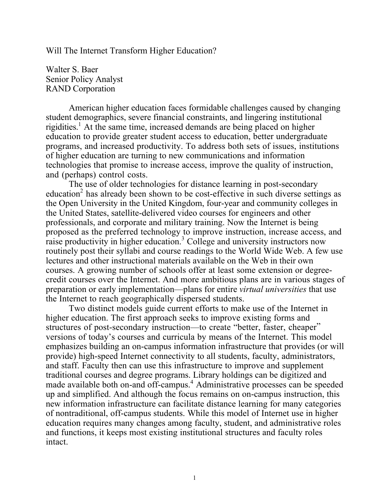Will The Internet Transform Higher Education?

Walter S. Baer Senior Policy Analyst RAND Corporation

American higher education faces formidable challenges caused by changing student demographics, severe financial constraints, and lingering institutional rigidities.<sup>1</sup> At the same time, increased demands are being placed on higher education to provide greater student access to education, better undergraduate programs, and increased productivity. To address both sets of issues, institutions of higher education are turning to new communications and information technologies that promise to increase access, improve the quality of instruction, and (perhaps) control costs.

The use of older technologies for distance learning in post-secondary education<sup>2</sup> has already been shown to be cost-effective in such diverse settings as the Open University in the United Kingdom, four-year and community colleges in the United States, satellite-delivered video courses for engineers and other professionals, and corporate and military training. Now the Internet is being proposed as the preferred technology to improve instruction, increase access, and raise productivity in higher education.<sup>3</sup> College and university instructors now routinely post their syllabi and course readings to the World Wide Web. A few use lectures and other instructional materials available on the Web in their own courses. A growing number of schools offer at least some extension or degreecredit courses over the Internet. And more ambitious plans are in various stages of preparation or early implementation—plans for entire *virtual universities* that use the Internet to reach geographically dispersed students.

Two distinct models guide current efforts to make use of the Internet in higher education. The first approach seeks to improve existing forms and structures of post-secondary instruction—to create "better, faster, cheaper" versions of today's courses and curricula by means of the Internet. This model emphasizes building an on-campus information infrastructure that provides (or will provide) high-speed Internet connectivity to all students, faculty, administrators, and staff. Faculty then can use this infrastructure to improve and supplement traditional courses and degree programs. Library holdings can be digitized and made available both on-and off-campus.<sup>4</sup> Administrative processes can be speeded up and simplified. And although the focus remains on on-campus instruction, this new information infrastructure can facilitate distance learning for many categories of nontraditional, off-campus students. While this model of Internet use in higher education requires many changes among faculty, student, and administrative roles and functions, it keeps most existing institutional structures and faculty roles intact.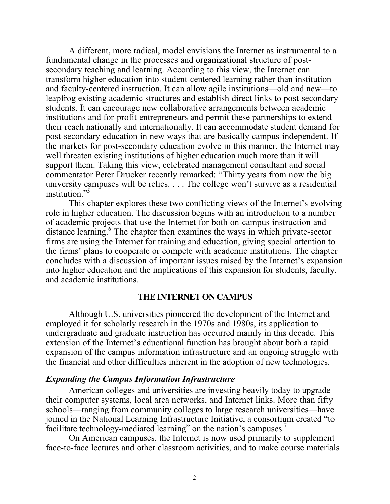A different, more radical, model envisions the Internet as instrumental to a fundamental change in the processes and organizational structure of postsecondary teaching and learning. According to this view, the Internet can transform higher education into student-centered learning rather than institutionand faculty-centered instruction. It can allow agile institutions—old and new—to leapfrog existing academic structures and establish direct links to post-secondary students. It can encourage new collaborative arrangements between academic institutions and for-profit entrepreneurs and permit these partnerships to extend their reach nationally and internationally. It can accommodate student demand for post-secondary education in new ways that are basically campus-independent. If the markets for post-secondary education evolve in this manner, the Internet may well threaten existing institutions of higher education much more than it will support them. Taking this view, celebrated management consultant and social commentator Peter Drucker recently remarked: "Thirty years from now the big university campuses will be relics. . . . The college won't survive as a residential institution."<sup>5</sup>

This chapter explores these two conflicting views of the Internet's evolving role in higher education. The discussion begins with an introduction to a number of academic projects that use the Internet for both on-campus instruction and distance learning.<sup>6</sup> The chapter then examines the ways in which private-sector firms are using the Internet for training and education, giving special attention to the firms' plans to cooperate or compete with academic institutions. The chapter concludes with a discussion of important issues raised by the Internet's expansion into higher education and the implications of this expansion for students, faculty, and academic institutions.

#### **THE INTERNET ON CAMPUS**

Although U.S. universities pioneered the development of the Internet and employed it for scholarly research in the 1970s and 1980s, its application to undergraduate and graduate instruction has occurred mainly in this decade. This extension of the Internet's educational function has brought about both a rapid expansion of the campus information infrastructure and an ongoing struggle with the financial and other difficulties inherent in the adoption of new technologies.

## *Expanding the Campus Information Infrastructure*

American colleges and universities are investing heavily today to upgrade their computer systems, local area networks, and Internet links. More than fifty schools—ranging from community colleges to large research universities—have joined in the National Learning Infrastructure Initiative, a consortium created "to facilitate technology-mediated learning" on the nation's campuses.<sup>7</sup>

On American campuses, the Internet is now used primarily to supplement face-to-face lectures and other classroom activities, and to make course materials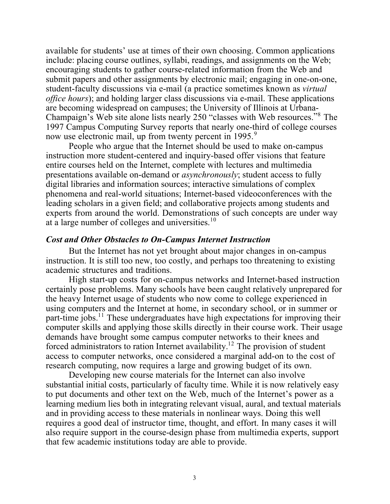available for students' use at times of their own choosing. Common applications include: placing course outlines, syllabi, readings, and assignments on the Web; encouraging students to gather course-related information from the Web and submit papers and other assignments by electronic mail; engaging in one-on-one, student-faculty discussions via e-mail (a practice sometimes known as *virtual office hours*); and holding larger class discussions via e-mail. These applications are becoming widespread on campuses; the University of Illinois at Urbana-Champaign's Web site alone lists nearly 250 "classes with Web resources."<sup>8</sup> The 1997 Campus Computing Survey reports that nearly one-third of college courses now use electronic mail, up from twenty percent in 1995.<sup>9</sup>

People who argue that the Internet should be used to make on-campus instruction more student-centered and inquiry-based offer visions that feature entire courses held on the Internet, complete with lectures and multimedia presentations available on-demand or *asynchronously*; student access to fully digital libraries and information sources; interactive simulations of complex phenomena and real-world situations; Internet-based videoconferences with the leading scholars in a given field; and collaborative projects among students and experts from around the world. Demonstrations of such concepts are under way at a large number of colleges and universities. $10$ 

# *Cost and Other Obstacles to On-Campus Internet Instruction*

But the Internet has not yet brought about major changes in on-campus instruction. It is still too new, too costly, and perhaps too threatening to existing academic structures and traditions.

High start-up costs for on-campus networks and Internet-based instruction certainly pose problems. Many schools have been caught relatively unprepared for the heavy Internet usage of students who now come to college experienced in using computers and the Internet at home, in secondary school, or in summer or part-time jobs.<sup>11</sup> These undergraduates have high expectations for improving their computer skills and applying those skills directly in their course work. Their usage demands have brought some campus computer networks to their knees and forced administrators to ration Internet availability.12 The provision of student access to computer networks, once considered a marginal add-on to the cost of research computing, now requires a large and growing budget of its own.

Developing new course materials for the Internet can also involve substantial initial costs, particularly of faculty time. While it is now relatively easy to put documents and other text on the Web, much of the Internet's power as a learning medium lies both in integrating relevant visual, aural, and textual materials and in providing access to these materials in nonlinear ways. Doing this well requires a good deal of instructor time, thought, and effort. In many cases it will also require support in the course-design phase from multimedia experts, support that few academic institutions today are able to provide.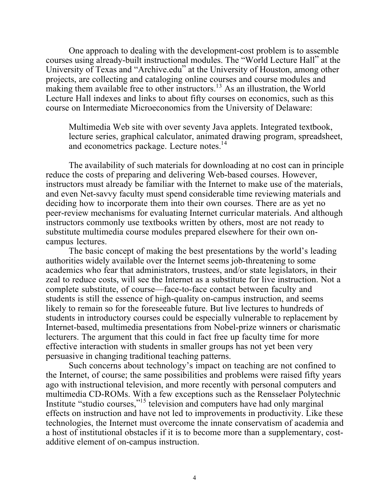One approach to dealing with the development-cost problem is to assemble courses using already-built instructional modules. The "World Lecture Hall" at the University of Texas and "Archive.edu" at the University of Houston, among other projects, are collecting and cataloging online courses and course modules and making them available free to other instructors.<sup>13</sup> As an illustration, the World Lecture Hall indexes and links to about fifty courses on economics, such as this course on Intermediate Microeconomics from the University of Delaware:

Multimedia Web site with over seventy Java applets. Integrated textbook, lecture series, graphical calculator, animated drawing program, spreadsheet, and econometrics package. Lecture notes.<sup>14</sup>

The availability of such materials for downloading at no cost can in principle reduce the costs of preparing and delivering Web-based courses. However, instructors must already be familiar with the Internet to make use of the materials, and even Net-savvy faculty must spend considerable time reviewing materials and deciding how to incorporate them into their own courses. There are as yet no peer-review mechanisms for evaluating Internet curricular materials. And although instructors commonly use textbooks written by others, most are not ready to substitute multimedia course modules prepared elsewhere for their own oncampus lectures.

The basic concept of making the best presentations by the world's leading authorities widely available over the Internet seems job-threatening to some academics who fear that administrators, trustees, and/or state legislators, in their zeal to reduce costs, will see the Internet as a substitute for live instruction. Not a complete substitute, of course—face-to-face contact between faculty and students is still the essence of high-quality on-campus instruction, and seems likely to remain so for the foreseeable future. But live lectures to hundreds of students in introductory courses could be especially vulnerable to replacement by Internet-based, multimedia presentations from Nobel-prize winners or charismatic lecturers. The argument that this could in fact free up faculty time for more effective interaction with students in smaller groups has not yet been very persuasive in changing traditional teaching patterns.

Such concerns about technology's impact on teaching are not confined to the Internet, of course; the same possibilities and problems were raised fifty years ago with instructional television, and more recently with personal computers and multimedia CD-ROMs. With a few exceptions such as the Rensselaer Polytechnic Institute "studio courses,"15 television and computers have had only marginal effects on instruction and have not led to improvements in productivity. Like these technologies, the Internet must overcome the innate conservatism of academia and a host of institutional obstacles if it is to become more than a supplementary, costadditive element of on-campus instruction.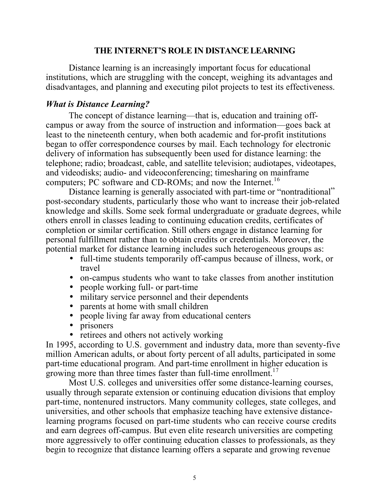## **THE INTERNET'S ROLE IN DISTANCE LEARNING**

Distance learning is an increasingly important focus for educational institutions, which are struggling with the concept, weighing its advantages and disadvantages, and planning and executing pilot projects to test its effectiveness.

## *What is Distance Learning?*

The concept of distance learning—that is, education and training offcampus or away from the source of instruction and information—goes back at least to the nineteenth century, when both academic and for-profit institutions began to offer correspondence courses by mail. Each technology for electronic delivery of information has subsequently been used for distance learning: the telephone; radio; broadcast, cable, and satellite television; audiotapes, videotapes, and videodisks; audio- and videoconferencing; timesharing on mainframe computers; PC software and CD-ROMs; and now the Internet.<sup>16</sup>

Distance learning is generally associated with part-time or "nontraditional" post-secondary students, particularly those who want to increase their job-related knowledge and skills. Some seek formal undergraduate or graduate degrees, while others enroll in classes leading to continuing education credits, certificates of completion or similar certification. Still others engage in distance learning for personal fulfillment rather than to obtain credits or credentials. Moreover, the potential market for distance learning includes such heterogeneous groups as:

- full-time students temporarily off-campus because of illness, work, or travel
- on-campus students who want to take classes from another institution
- people working full- or part-time
- military service personnel and their dependents
- parents at home with small children
- people living far away from educational centers
- prisoners
- retirees and others not actively working

In 1995, according to U.S. government and industry data, more than seventy-five million American adults, or about forty percent of all adults, participated in some part-time educational program. And part-time enrollment in higher education is growing more than three times faster than full-time enrollment.<sup>17</sup>

Most U.S. colleges and universities offer some distance-learning courses, usually through separate extension or continuing education divisions that employ part-time, nontenured instructors. Many community colleges, state colleges, and universities, and other schools that emphasize teaching have extensive distancelearning programs focused on part-time students who can receive course credits and earn degrees off-campus. But even elite research universities are competing more aggressively to offer continuing education classes to professionals, as they begin to recognize that distance learning offers a separate and growing revenue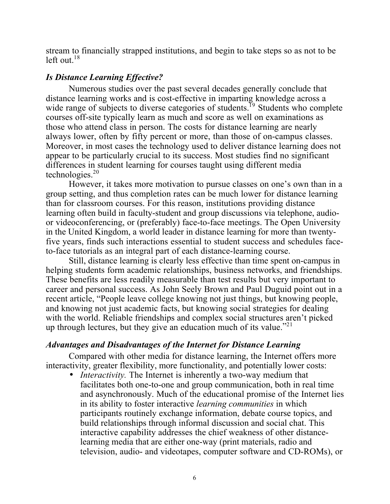stream to financially strapped institutions, and begin to take steps so as not to be left out. $18$ 

# *Is Distance Learning Effective?*

Numerous studies over the past several decades generally conclude that distance learning works and is cost-effective in imparting knowledge across a wide range of subjects to diverse categories of students.<sup>19</sup> Students who complete courses off-site typically learn as much and score as well on examinations as those who attend class in person. The costs for distance learning are nearly always lower, often by fifty percent or more, than those of on-campus classes. Moreover, in most cases the technology used to deliver distance learning does not appear to be particularly crucial to its success. Most studies find no significant differences in student learning for courses taught using different media technologies. $20$ 

However, it takes more motivation to pursue classes on one's own than in a group setting, and thus completion rates can be much lower for distance learning than for classroom courses. For this reason, institutions providing distance learning often build in faculty-student and group discussions via telephone, audioor videoconferencing, or (preferably) face-to-face meetings. The Open University in the United Kingdom, a world leader in distance learning for more than twentyfive years, finds such interactions essential to student success and schedules faceto-face tutorials as an integral part of each distance-learning course.

Still, distance learning is clearly less effective than time spent on-campus in helping students form academic relationships, business networks, and friendships. These benefits are less readily measurable than test results but very important to career and personal success. As John Seely Brown and Paul Duguid point out in a recent article, "People leave college knowing not just things, but knowing people, and knowing not just academic facts, but knowing social strategies for dealing with the world. Reliable friendships and complex social structures aren't picked up through lectures, but they give an education much of its value."<sup>21</sup>

# *Advantages and Disadvantages of the Internet for Distance Learning*

Compared with other media for distance learning, the Internet offers more interactivity, greater flexibility, more functionality, and potentially lower costs:

• *Interactivity*. The Internet is inherently a two-way medium that facilitates both one-to-one and group communication, both in real time and asynchronously. Much of the educational promise of the Internet lies in its ability to foster interactive *learning communities* in which participants routinely exchange information, debate course topics, and build relationships through informal discussion and social chat. This interactive capability addresses the chief weakness of other distancelearning media that are either one-way (print materials, radio and television, audio- and videotapes, computer software and CD-ROMs), or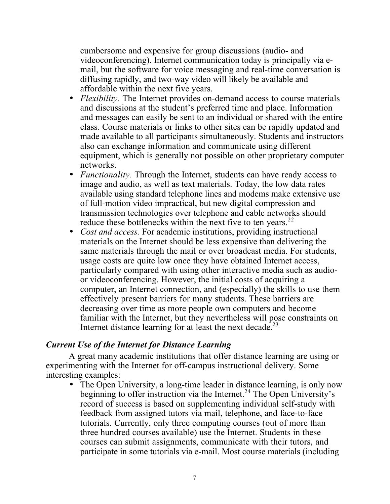cumbersome and expensive for group discussions (audio- and videoconferencing). Internet communication today is principally via email, but the software for voice messaging and real-time conversation is diffusing rapidly, and two-way video will likely be available and affordable within the next five years.

- *Flexibility*. The Internet provides on-demand access to course materials and discussions at the student's preferred time and place. Information and messages can easily be sent to an individual or shared with the entire class. Course materials or links to other sites can be rapidly updated and made available to all participants simultaneously. Students and instructors also can exchange information and communicate using different equipment, which is generally not possible on other proprietary computer networks.
- *Functionality*. Through the Internet, students can have ready access to image and audio, as well as text materials. Today, the low data rates available using standard telephone lines and modems make extensive use of full-motion video impractical, but new digital compression and transmission technologies over telephone and cable networks should reduce these bottlenecks within the next five to ten years.<sup>22</sup>
- *Cost and access.* For academic institutions, providing instructional materials on the Internet should be less expensive than delivering the same materials through the mail or over broadcast media. For students, usage costs are quite low once they have obtained Internet access, particularly compared with using other interactive media such as audioor videoconferencing. However, the initial costs of acquiring a computer, an Internet connection, and (especially) the skills to use them effectively present barriers for many students. These barriers are decreasing over time as more people own computers and become familiar with the Internet, but they nevertheless will pose constraints on Internet distance learning for at least the next decade.<sup>23</sup>

# *Current Use of the Internet for Distance Learning*

A great many academic institutions that offer distance learning are using or experimenting with the Internet for off-campus instructional delivery. Some interesting examples:

• The Open University, a long-time leader in distance learning, is only now beginning to offer instruction via the Internet.<sup>24</sup> The Open University's record of success is based on supplementing individual self-study with feedback from assigned tutors via mail, telephone, and face-to-face tutorials. Currently, only three computing courses (out of more than three hundred courses available) use the Internet. Students in these courses can submit assignments, communicate with their tutors, and participate in some tutorials via e-mail. Most course materials (including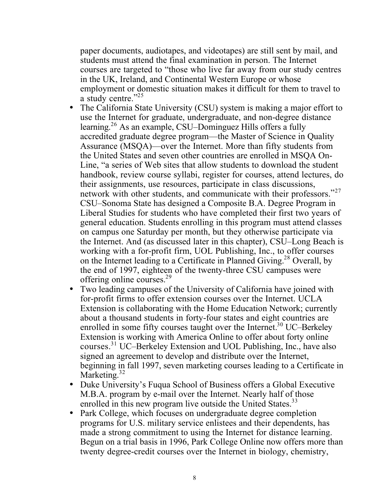paper documents, audiotapes, and videotapes) are still sent by mail, and students must attend the final examination in person. The Internet courses are targeted to "those who live far away from our study centres in the UK, Ireland, and Continental Western Europe or whose employment or domestic situation makes it difficult for them to travel to a study centre."<sup>25</sup>

- The California State University (CSU) system is making a major effort to use the Internet for graduate, undergraduate, and non-degree distance learning.26 As an example, CSU–Dominguez Hills offers a fully accredited graduate degree program—the Master of Science in Quality Assurance (MSQA)—over the Internet. More than fifty students from the United States and seven other countries are enrolled in MSQA On-Line, "a series of Web sites that allow students to download the student handbook, review course syllabi, register for courses, attend lectures, do their assignments, use resources, participate in class discussions, network with other students, and communicate with their professors."<sup>27</sup> CSU–Sonoma State has designed a Composite B.A. Degree Program in Liberal Studies for students who have completed their first two years of general education. Students enrolling in this program must attend classes on campus one Saturday per month, but they otherwise participate via the Internet. And (as discussed later in this chapter), CSU–Long Beach is working with a for-profit firm, UOL Publishing, Inc., to offer courses on the Internet leading to a Certificate in Planned Giving.<sup>28</sup> Overall, by the end of 1997, eighteen of the twenty-three CSU campuses were offering online courses.29
- Two leading campuses of the University of California have joined with for-profit firms to offer extension courses over the Internet. UCLA Extension is collaborating with the Home Education Network; currently about a thousand students in forty-four states and eight countries are enrolled in some fifty courses taught over the Internet.<sup>30</sup> UC–Berkeley Extension is working with America Online to offer about forty online courses.31 UC–Berkeley Extension and UOL Publishing, Inc., have also signed an agreement to develop and distribute over the Internet, beginning in fall 1997, seven marketing courses leading to a Certificate in Marketing.<sup>32</sup>
- Duke University's Fuqua School of Business offers a Global Executive M.B.A. program by e-mail over the Internet. Nearly half of those enrolled in this new program live outside the United States.<sup>33</sup>
- Park College, which focuses on undergraduate degree completion programs for U.S. military service enlistees and their dependents, has made a strong commitment to using the Internet for distance learning. Begun on a trial basis in 1996, Park College Online now offers more than twenty degree-credit courses over the Internet in biology, chemistry,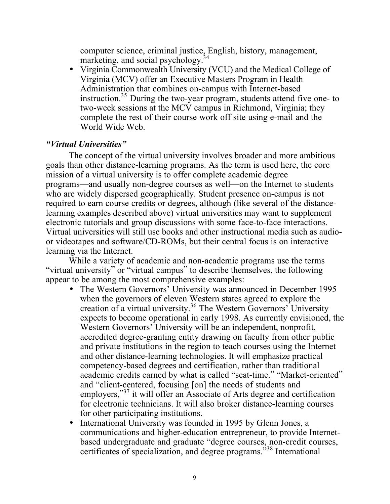computer science, criminal justice, English, history, management, marketing, and social psychology.<sup>34</sup>

• Virginia Commonwealth University (VCU) and the Medical College of Virginia (MCV) offer an Executive Masters Program in Health Administration that combines on-campus with Internet-based instruction.<sup>35</sup> During the two-year program, students attend five one- to two-week sessions at the MCV campus in Richmond, Virginia; they complete the rest of their course work off site using e-mail and the World Wide Web.

# *"Virtual Universities"*

The concept of the virtual university involves broader and more ambitious goals than other distance-learning programs. As the term is used here, the core mission of a virtual university is to offer complete academic degree programs—and usually non-degree courses as well—on the Internet to students who are widely dispersed geographically. Student presence on-campus is not required to earn course credits or degrees, although (like several of the distancelearning examples described above) virtual universities may want to supplement electronic tutorials and group discussions with some face-to-face interactions. Virtual universities will still use books and other instructional media such as audioor videotapes and software/CD-ROMs, but their central focus is on interactive learning via the Internet.

While a variety of academic and non-academic programs use the terms "virtual university" or "virtual campus" to describe themselves, the following appear to be among the most comprehensive examples:

- The Western Governors' University was announced in December 1995 when the governors of eleven Western states agreed to explore the creation of a virtual university.36 The Western Governors' University expects to become operational in early 1998. As currently envisioned, the Western Governors' University will be an independent, nonprofit, accredited degree-granting entity drawing on faculty from other public and private institutions in the region to teach courses using the Internet and other distance-learning technologies. It will emphasize practical competency-based degrees and certification, rather than traditional academic credits earned by what is called "seat-time." "Market-oriented" and "client-centered, focusing [on] the needs of students and employers,"<sup>37</sup> it will offer an Associate of Arts degree and certification for electronic technicians. It will also broker distance-learning courses for other participating institutions.
- International University was founded in 1995 by Glenn Jones, a communications and higher-education entrepreneur, to provide Internetbased undergraduate and graduate "degree courses, non-credit courses, certificates of specialization, and degree programs."38 International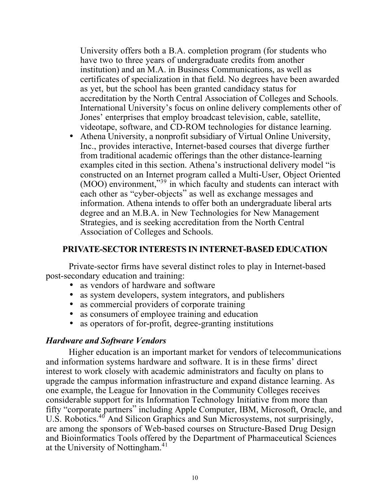University offers both a B.A. completion program (for students who have two to three years of undergraduate credits from another institution) and an M.A. in Business Communications, as well as certificates of specialization in that field. No degrees have been awarded as yet, but the school has been granted candidacy status for accreditation by the North Central Association of Colleges and Schools. International University's focus on online delivery complements other of Jones' enterprises that employ broadcast television, cable, satellite, videotape, software, and CD-ROM technologies for distance learning.

• Athena University, a nonprofit subsidiary of Virtual Online University, Inc., provides interactive, Internet-based courses that diverge further from traditional academic offerings than the other distance-learning examples cited in this section. Athena's instructional delivery model "is constructed on an Internet program called a Multi-User, Object Oriented (MOO) environment,"<sup>39</sup> in which faculty and students can interact with each other as "cyber-objects" as well as exchange messages and information. Athena intends to offer both an undergraduate liberal arts degree and an M.B.A. in New Technologies for New Management Strategies, and is seeking accreditation from the North Central Association of Colleges and Schools.

## **PRIVATE-SECTOR INTERESTS IN INTERNET-BASED EDUCATION**

Private-sector firms have several distinct roles to play in Internet-based post-secondary education and training:

- as vendors of hardware and software
- as system developers, system integrators, and publishers
- as commercial providers of corporate training
- as consumers of employee training and education
- as operators of for-profit, degree-granting institutions

#### *Hardware and Software Vendors*

Higher education is an important market for vendors of telecommunications and information systems hardware and software. It is in these firms' direct interest to work closely with academic administrators and faculty on plans to upgrade the campus information infrastructure and expand distance learning. As one example, the League for Innovation in the Community Colleges receives considerable support for its Information Technology Initiative from more than fifty "corporate partners" including Apple Computer, IBM, Microsoft, Oracle, and U.S. Robotics.<sup>40</sup> And Silicon Graphics and Sun Microsystems, not surprisingly, are among the sponsors of Web-based courses on Structure-Based Drug Design and Bioinformatics Tools offered by the Department of Pharmaceutical Sciences at the University of Nottingham.<sup>41</sup>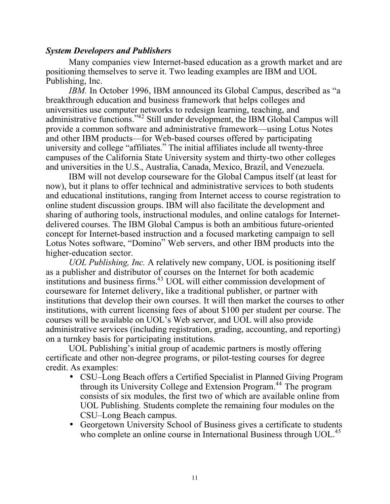## *System Developers and Publishers*

Many companies view Internet-based education as a growth market and are positioning themselves to serve it. Two leading examples are IBM and UOL Publishing, Inc.

*IBM.* In October 1996, IBM announced its Global Campus, described as "a breakthrough education and business framework that helps colleges and universities use computer networks to redesign learning, teaching, and administrative functions."42 Still under development, the IBM Global Campus will provide a common software and administrative framework—using Lotus Notes and other IBM products—for Web-based courses offered by participating university and college "affiliates." The initial affiliates include all twenty-three campuses of the California State University system and thirty-two other colleges and universities in the U.S., Australia, Canada, Mexico, Brazil, and Venezuela.

IBM will not develop courseware for the Global Campus itself (at least for now), but it plans to offer technical and administrative services to both students and educational institutions, ranging from Internet access to course registration to online student discussion groups. IBM will also facilitate the development and sharing of authoring tools, instructional modules, and online catalogs for Internetdelivered courses. The IBM Global Campus is both an ambitious future-oriented concept for Internet-based instruction and a focused marketing campaign to sell Lotus Notes software, "Domino" Web servers, and other IBM products into the higher-education sector.

*UOL Publishing, Inc.* A relatively new company, UOL is positioning itself as a publisher and distributor of courses on the Internet for both academic institutions and business firms.<sup>43</sup> UOL will either commission development of courseware for Internet delivery, like a traditional publisher, or partner with institutions that develop their own courses. It will then market the courses to other institutions, with current licensing fees of about \$100 per student per course. The courses will be available on UOL's Web server, and UOL will also provide administrative services (including registration, grading, accounting, and reporting) on a turnkey basis for participating institutions.

UOL Publishing's initial group of academic partners is mostly offering certificate and other non-degree programs, or pilot-testing courses for degree credit. As examples:

- CSU–Long Beach offers a Certified Specialist in Planned Giving Program through its University College and Extension Program.44 The program consists of six modules, the first two of which are available online from UOL Publishing. Students complete the remaining four modules on the CSU–Long Beach campus.
- Georgetown University School of Business gives a certificate to students who complete an online course in International Business through UOL.<sup>45</sup>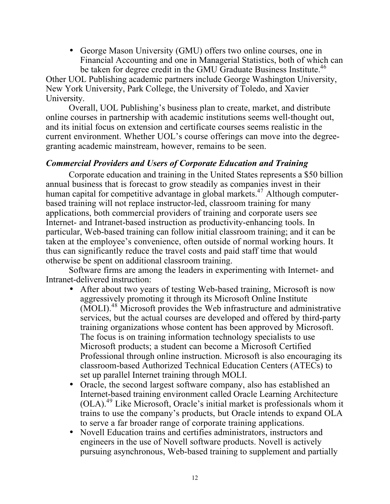• George Mason University (GMU) offers two online courses, one in Financial Accounting and one in Managerial Statistics, both of which can be taken for degree credit in the GMU Graduate Business Institute.<sup>46</sup>

Other UOL Publishing academic partners include George Washington University, New York University, Park College, the University of Toledo, and Xavier University.

Overall, UOL Publishing's business plan to create, market, and distribute online courses in partnership with academic institutions seems well-thought out, and its initial focus on extension and certificate courses seems realistic in the current environment. Whether UOL's course offerings can move into the degreegranting academic mainstream, however, remains to be seen.

# *Commercial Providers and Users of Corporate Education and Training*

Corporate education and training in the United States represents a \$50 billion annual business that is forecast to grow steadily as companies invest in their human capital for competitive advantage in global markets.47 Although computerbased training will not replace instructor-led, classroom training for many applications, both commercial providers of training and corporate users see Internet- and Intranet-based instruction as productivity-enhancing tools. In particular, Web-based training can follow initial classroom training; and it can be taken at the employee's convenience, often outside of normal working hours. It thus can significantly reduce the travel costs and paid staff time that would otherwise be spent on additional classroom training.

Software firms are among the leaders in experimenting with Internet- and Intranet-delivered instruction:

- After about two years of testing Web-based training, Microsoft is now aggressively promoting it through its Microsoft Online Institute (MOLI).48 Microsoft provides the Web infrastructure and administrative services, but the actual courses are developed and offered by third-party training organizations whose content has been approved by Microsoft. The focus is on training information technology specialists to use Microsoft products; a student can become a Microsoft Certified Professional through online instruction. Microsoft is also encouraging its classroom-based Authorized Technical Education Centers (ATECs) to set up parallel Internet training through MOLI.
- Oracle, the second largest software company, also has established an Internet-based training environment called Oracle Learning Architecture (OLA).49 Like Microsoft, Oracle's initial market is professionals whom it trains to use the company's products, but Oracle intends to expand OLA to serve a far broader range of corporate training applications.
- Novell Education trains and certifies administrators, instructors and engineers in the use of Novell software products. Novell is actively pursuing asynchronous, Web-based training to supplement and partially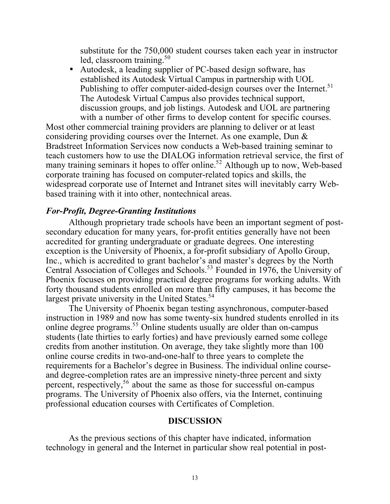substitute for the 750,000 student courses taken each year in instructor led, classroom training.<sup>50</sup>

• Autodesk, a leading supplier of PC-based design software, has established its Autodesk Virtual Campus in partnership with UOL Publishing to offer computer-aided-design courses over the Internet.<sup>51</sup> The Autodesk Virtual Campus also provides technical support, discussion groups, and job listings. Autodesk and UOL are partnering with a number of other firms to develop content for specific courses.

Most other commercial training providers are planning to deliver or at least considering providing courses over the Internet. As one example, Dun & Bradstreet Information Services now conducts a Web-based training seminar to teach customers how to use the DIALOG information retrieval service, the first of many training seminars it hopes to offer online.<sup>52</sup> Although up to now, Web-based corporate training has focused on computer-related topics and skills, the widespread corporate use of Internet and Intranet sites will inevitably carry Webbased training with it into other, nontechnical areas.

## *For-Profit, Degree-Granting Institutions*

Although proprietary trade schools have been an important segment of postsecondary education for many years, for-profit entities generally have not been accredited for granting undergraduate or graduate degrees. One interesting exception is the University of Phoenix, a for-profit subsidiary of Apollo Group, Inc., which is accredited to grant bachelor's and master's degrees by the North Central Association of Colleges and Schools.53 Founded in 1976, the University of Phoenix focuses on providing practical degree programs for working adults. With forty thousand students enrolled on more than fifty campuses, it has become the largest private university in the United States.<sup>54</sup>

The University of Phoenix began testing asynchronous, computer-based instruction in 1989 and now has some twenty-six hundred students enrolled in its online degree programs.<sup>55</sup> Online students usually are older than on-campus students (late thirties to early forties) and have previously earned some college credits from another institution. On average, they take slightly more than 100 online course credits in two-and-one-half to three years to complete the requirements for a Bachelor's degree in Business. The individual online courseand degree-completion rates are an impressive ninety-three percent and sixty percent, respectively,  $56$  about the same as those for successful on-campus programs. The University of Phoenix also offers, via the Internet, continuing professional education courses with Certificates of Completion.

## **DISCUSSION**

As the previous sections of this chapter have indicated, information technology in general and the Internet in particular show real potential in post-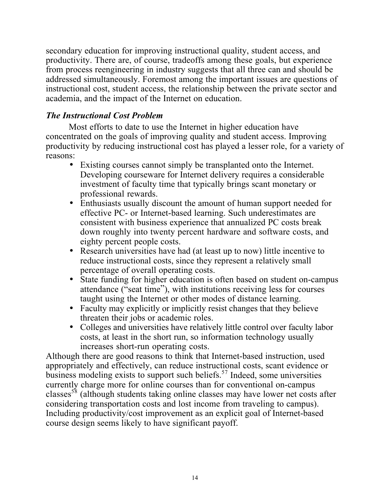secondary education for improving instructional quality, student access, and productivity. There are, of course, tradeoffs among these goals, but experience from process reengineering in industry suggests that all three can and should be addressed simultaneously. Foremost among the important issues are questions of instructional cost, student access, the relationship between the private sector and academia, and the impact of the Internet on education.

# *The Instructional Cost Problem*

Most efforts to date to use the Internet in higher education have concentrated on the goals of improving quality and student access. Improving productivity by reducing instructional cost has played a lesser role, for a variety of reasons:

- Existing courses cannot simply be transplanted onto the Internet. Developing courseware for Internet delivery requires a considerable investment of faculty time that typically brings scant monetary or professional rewards.
- Enthusiasts usually discount the amount of human support needed for effective PC- or Internet-based learning. Such underestimates are consistent with business experience that annualized PC costs break down roughly into twenty percent hardware and software costs, and eighty percent people costs.
- Research universities have had (at least up to now) little incentive to reduce instructional costs, since they represent a relatively small percentage of overall operating costs.
- State funding for higher education is often based on student on-campus attendance ("seat time"), with institutions receiving less for courses taught using the Internet or other modes of distance learning.
- Faculty may explicitly or implicitly resist changes that they believe threaten their jobs or academic roles.
- Colleges and universities have relatively little control over faculty labor costs, at least in the short run, so information technology usually increases short-run operating costs.

Although there are good reasons to think that Internet-based instruction, used appropriately and effectively, can reduce instructional costs, scant evidence or business modeling exists to support such beliefs.<sup>57</sup> Indeed, some universities currently charge more for online courses than for conventional on-campus classes<sup>58</sup> (although students taking online classes may have lower net costs after considering transportation costs and lost income from traveling to campus). Including productivity/cost improvement as an explicit goal of Internet-based course design seems likely to have significant payoff.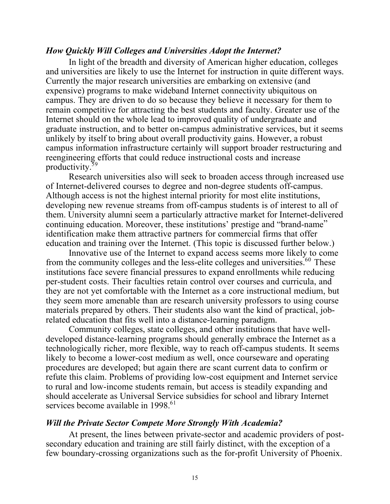#### *How Quickly Will Colleges and Universities Adopt the Internet?*

In light of the breadth and diversity of American higher education, colleges and universities are likely to use the Internet for instruction in quite different ways. Currently the major research universities are embarking on extensive (and expensive) programs to make wideband Internet connectivity ubiquitous on campus. They are driven to do so because they believe it necessary for them to remain competitive for attracting the best students and faculty. Greater use of the Internet should on the whole lead to improved quality of undergraduate and graduate instruction, and to better on-campus administrative services, but it seems unlikely by itself to bring about overall productivity gains. However, a robust campus information infrastructure certainly will support broader restructuring and reengineering efforts that could reduce instructional costs and increase productivity.<sup>59</sup>

Research universities also will seek to broaden access through increased use of Internet-delivered courses to degree and non-degree students off-campus. Although access is not the highest internal priority for most elite institutions, developing new revenue streams from off-campus students is of interest to all of them. University alumni seem a particularly attractive market for Internet-delivered continuing education. Moreover, these institutions' prestige and "brand-name" identification make them attractive partners for commercial firms that offer education and training over the Internet. (This topic is discussed further below.)

Innovative use of the Internet to expand access seems more likely to come from the community colleges and the less-elite colleges and universities.<sup>60</sup> These institutions face severe financial pressures to expand enrollments while reducing per-student costs. Their faculties retain control over courses and curricula, and they are not yet comfortable with the Internet as a core instructional medium, but they seem more amenable than are research university professors to using course materials prepared by others. Their students also want the kind of practical, jobrelated education that fits well into a distance-learning paradigm.

Community colleges, state colleges, and other institutions that have welldeveloped distance-learning programs should generally embrace the Internet as a technologically richer, more flexible, way to reach off-campus students. It seems likely to become a lower-cost medium as well, once courseware and operating procedures are developed; but again there are scant current data to confirm or refute this claim. Problems of providing low-cost equipment and Internet service to rural and low-income students remain, but access is steadily expanding and should accelerate as Universal Service subsidies for school and library Internet services become available in 1998.<sup>61</sup>

#### *Will the Private Sector Compete More Strongly With Academia?*

At present, the lines between private-sector and academic providers of postsecondary education and training are still fairly distinct, with the exception of a few boundary-crossing organizations such as the for-profit University of Phoenix.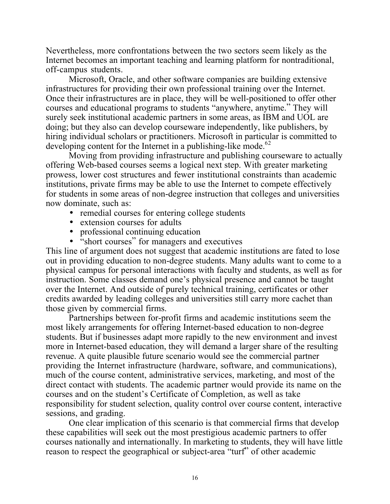Nevertheless, more confrontations between the two sectors seem likely as the Internet becomes an important teaching and learning platform for nontraditional, off-campus students.

Microsoft, Oracle, and other software companies are building extensive infrastructures for providing their own professional training over the Internet. Once their infrastructures are in place, they will be well-positioned to offer other courses and educational programs to students "anywhere, anytime." They will surely seek institutional academic partners in some areas, as IBM and UOL are doing; but they also can develop courseware independently, like publishers, by hiring individual scholars or practitioners. Microsoft in particular is committed to developing content for the Internet in a publishing-like mode.<sup>62</sup>

Moving from providing infrastructure and publishing courseware to actually offering Web-based courses seems a logical next step. With greater marketing prowess, lower cost structures and fewer institutional constraints than academic institutions, private firms may be able to use the Internet to compete effectively for students in some areas of non-degree instruction that colleges and universities now dominate, such as:

- remedial courses for entering college students
- extension courses for adults
- professional continuing education
- "short courses" for managers and executives

This line of argument does not suggest that academic institutions are fated to lose out in providing education to non-degree students. Many adults want to come to a physical campus for personal interactions with faculty and students, as well as for instruction. Some classes demand one's physical presence and cannot be taught over the Internet. And outside of purely technical training, certificates or other credits awarded by leading colleges and universities still carry more cachet than those given by commercial firms.

Partnerships between for-profit firms and academic institutions seem the most likely arrangements for offering Internet-based education to non-degree students. But if businesses adapt more rapidly to the new environment and invest more in Internet-based education, they will demand a larger share of the resulting revenue. A quite plausible future scenario would see the commercial partner providing the Internet infrastructure (hardware, software, and communications), much of the course content, administrative services, marketing, and most of the direct contact with students. The academic partner would provide its name on the courses and on the student's Certificate of Completion, as well as take responsibility for student selection, quality control over course content, interactive sessions, and grading.

One clear implication of this scenario is that commercial firms that develop these capabilities will seek out the most prestigious academic partners to offer courses nationally and internationally. In marketing to students, they will have little reason to respect the geographical or subject-area "turf" of other academic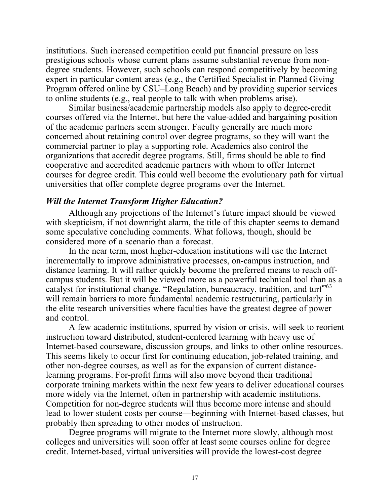institutions. Such increased competition could put financial pressure on less prestigious schools whose current plans assume substantial revenue from nondegree students. However, such schools can respond competitively by becoming expert in particular content areas (e.g., the Certified Specialist in Planned Giving Program offered online by CSU–Long Beach) and by providing superior services to online students (e.g., real people to talk with when problems arise).

Similar business/academic partnership models also apply to degree-credit courses offered via the Internet, but here the value-added and bargaining position of the academic partners seem stronger. Faculty generally are much more concerned about retaining control over degree programs, so they will want the commercial partner to play a supporting role. Academics also control the organizations that accredit degree programs. Still, firms should be able to find cooperative and accredited academic partners with whom to offer Internet courses for degree credit. This could well become the evolutionary path for virtual universities that offer complete degree programs over the Internet.

# *Will the Internet Transform Higher Education?*

Although any projections of the Internet's future impact should be viewed with skepticism, if not downright alarm, the title of this chapter seems to demand some speculative concluding comments. What follows, though, should be considered more of a scenario than a forecast.

In the near term, most higher-education institutions will use the Internet incrementally to improve administrative processes, on-campus instruction, and distance learning. It will rather quickly become the preferred means to reach offcampus students. But it will be viewed more as a powerful technical tool than as a catalyst for institutional change. "Regulation, bureaucracy, tradition, and turf<sup>563</sup> will remain barriers to more fundamental academic restructuring, particularly in the elite research universities where faculties have the greatest degree of power and control.

A few academic institutions, spurred by vision or crisis, will seek to reorient instruction toward distributed, student-centered learning with heavy use of Internet-based courseware, discussion groups, and links to other online resources. This seems likely to occur first for continuing education, job-related training, and other non-degree courses, as well as for the expansion of current distancelearning programs. For-profit firms will also move beyond their traditional corporate training markets within the next few years to deliver educational courses more widely via the Internet, often in partnership with academic institutions. Competition for non-degree students will thus become more intense and should lead to lower student costs per course—beginning with Internet-based classes, but probably then spreading to other modes of instruction.

Degree programs will migrate to the Internet more slowly, although most colleges and universities will soon offer at least some courses online for degree credit. Internet-based, virtual universities will provide the lowest-cost degree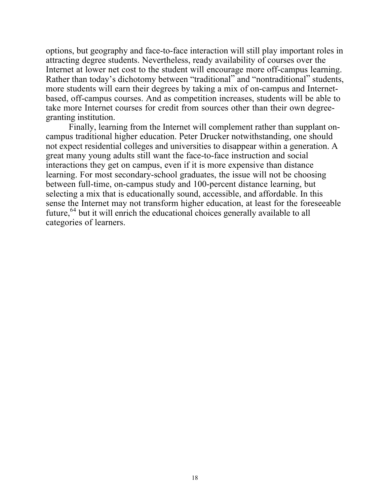options, but geography and face-to-face interaction will still play important roles in attracting degree students. Nevertheless, ready availability of courses over the Internet at lower net cost to the student will encourage more off-campus learning. Rather than today's dichotomy between "traditional" and "nontraditional" students, more students will earn their degrees by taking a mix of on-campus and Internetbased, off-campus courses. And as competition increases, students will be able to take more Internet courses for credit from sources other than their own degreegranting institution.

Finally, learning from the Internet will complement rather than supplant oncampus traditional higher education. Peter Drucker notwithstanding, one should not expect residential colleges and universities to disappear within a generation. A great many young adults still want the face-to-face instruction and social interactions they get on campus, even if it is more expensive than distance learning. For most secondary-school graduates, the issue will not be choosing between full-time, on-campus study and 100-percent distance learning, but selecting a mix that is educationally sound, accessible, and affordable. In this sense the Internet may not transform higher education, at least for the foreseeable future,64 but it will enrich the educational choices generally available to all categories of learners.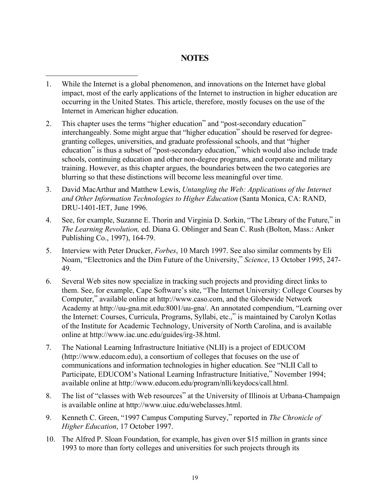## **NOTES**

1. While the Internet is a global phenomenon, and innovations on the Internet have global impact, most of the early applications of the Internet to instruction in higher education are occurring in the United States. This article, therefore, mostly focuses on the use of the Internet in American higher education.

 $\overline{a}$ 

- 2. This chapter uses the terms "higher education" and "post-secondary education" interchangeably. Some might argue that "higher education" should be reserved for degreegranting colleges, universities, and graduate professional schools, and that "higher education" is thus a subset of "post-secondary education," which would also include trade schools, continuing education and other non-degree programs, and corporate and military training. However, as this chapter argues, the boundaries between the two categories are blurring so that these distinctions will become less meaningful over time.
- 3. David MacArthur and Matthew Lewis, *Untangling the Web: Applications of the Internet and Other Information Technologies to Higher Education* (Santa Monica, CA: RAND, DRU-1401-IET, June 1996.
- 4. See, for example, Suzanne E. Thorin and Virginia D. Sorkin, "The Library of the Future," in *The Learning Revolution,* ed. Diana G. Oblinger and Sean C. Rush (Bolton, Mass.: Anker Publishing Co., 1997), 164-79.
- 5. Interview with Peter Drucker, *Forbes*, 10 March 1997. See also similar comments by Eli Noam, "Electronics and the Dim Future of the University," *Science*, 13 October 1995, 247- 49.
- 6. Several Web sites now specialize in tracking such projects and providing direct links to them. See, for example, Cape Software's site, "The Internet University: College Courses by Computer," available online at http://www.caso.com, and the Globewide Network Academy at http://uu-gna.mit.edu:8001/uu-gna/. An annotated compendium, "Learning over the Internet: Courses, Curricula, Programs, Syllabi, etc.," is maintained by Carolyn Kotlas of the Institute for Academic Technology, University of North Carolina, and is available online at http://www.iac.unc.edu/guides/irg-38.html.
- 7. The National Learning Infrastructure Initiative (NLII) is a project of EDUCOM (http://www.educom.edu), a consortium of colleges that focuses on the use of communications and information technologies in higher education. See "NLII Call to Participate, EDUCOM's National Learning Infrastructure Initiative," November 1994; available online at http://www.educom.edu/program/nlli/keydocs/call.html.
- 8. The list of "classes with Web resources" at the University of Illinois at Urbana-Champaign is available online at http://www.uiuc.edu/webclasses.html.
- 9. Kenneth C. Green, "1997 Campus Computing Survey," reported in *The Chronicle of Higher Education*, 17 October 1997.
- 10. The Alfred P. Sloan Foundation, for example, has given over \$15 million in grants since 1993 to more than forty colleges and universities for such projects through its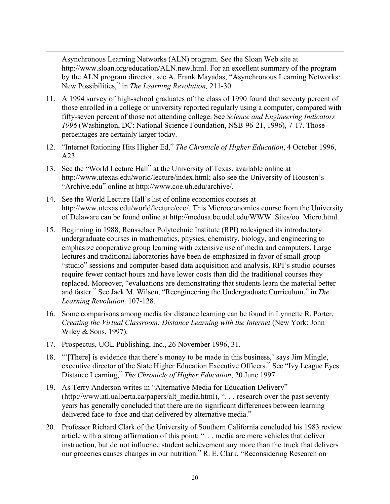Asynchronous Learning Networks (ALN) program. See the Sloan Web site at http://www.sloan.org/education/ALN.new.html. For an excellent summary of the program by the ALN program director, see A. Frank Mayadas, "Asynchronous Learning Networks: New Possibilities," in *The Learning Revolution,* 211-30.

- 11. A 1994 survey of high-school graduates of the class of 1990 found that seventy percent of those enrolled in a college or university reported regularly using a computer, compared with fifty-seven percent of those not attending college. See *Science and Engineering Indicators 1996* (Washington, DC: National Science Foundation, NSB-96-21, 1996), 7-17. Those percentages are certainly larger today.
- 12. "Internet Rationing Hits Higher Ed," *The Chronicle of Higher Education*, 4 October 1996, A23.
- 13. See the "World Lecture Hall" at the University of Texas, available online at http://www.utexas.edu/world/lecture/index.html; also see the University of Houston's "Archive.edu" online at http://www.coe.uh.edu/archive/.
- 14. See the World Lecture Hall's list of online economics courses at http://www.utexas.edu/world/lecture/eco/. This Microeconomics course from the University of Delaware can be found online at http://medusa.be.udel.edu/WWW\_Sites/oo\_Micro.html.
- 15. Beginning in 1988, Rensselaer Polytechnic Institute (RPI) redesigned its introductory undergraduate courses in mathematics, physics, chemistry, biology, and engineering to emphasize cooperative group learning with extensive use of media and computers. Large lectures and traditional laboratories have been de-emphasized in favor of small-group "studio" sessions and computer-based data acquisition and analysis. RPI's studio courses require fewer contact hours and have lower costs than did the traditional courses they replaced. Moreover, "evaluations are demonstrating that students learn the material better and faster." See Jack M. Wilson, "Reengineering the Undergraduate Curriculum," in *The Learning Revolution,* 107-128.
- 16. Some comparisons among media for distance learning can be found in Lynnette R. Porter, *Creating the Virtual Classroom: Distance Learning with the Internet* (New York: John Wiley & Sons, 1997).
- 17. Prospectus, UOL Publishing, Inc., 26 November 1996, 31.

 $\overline{a}$ 

- 18. "'[There] is evidence that there's money to be made in this business,' says Jim Mingle, executive director of the State Higher Education Executive Officers." See "Ivy League Eyes Distance Learning," *The Chronicle of Higher Education*, 20 June 1997.
- 19. As Terry Anderson writes in "Alternative Media for Education Delivery" (http://www.atl.ualberta.ca/papers/alt\_media.html), ". . . research over the past seventy years has generally concluded that there are no significant differences between learning delivered face-to-face and that delivered by alternative media."
- 20. Professor Richard Clark of the University of Southern California concluded his 1983 review article with a strong affirmation of this point: ". . . media are mere vehicles that deliver instruction, but do not influence student achievement any more than the truck that delivers our groceries causes changes in our nutrition." R. E. Clark, "Reconsidering Research on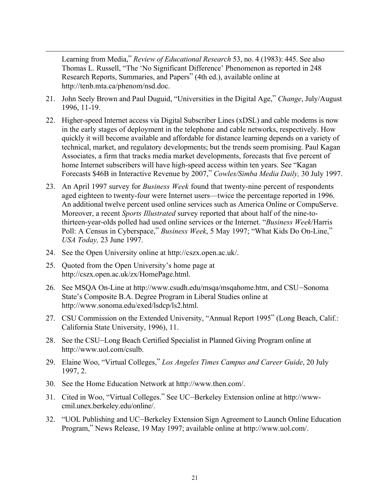Learning from Media," *Review of Educational Research* 53, no. 4 (1983): 445. See also Thomas L. Russell, "The 'No Significant Difference' Phenomenon as reported in 248 Research Reports, Summaries, and Papers" (4th ed.), available online at http://tenb.mta.ca/phenom/nsd.doc.

- 21. John Seely Brown and Paul Duguid, "Universities in the Digital Age," *Change*, July/August 1996, 11-19.
- 22. Higher-speed Internet access via Digital Subscriber Lines (xDSL) and cable modems is now in the early stages of deployment in the telephone and cable networks, respectively. How quickly it will become available and affordable for distance learning depends on a variety of technical, market, and regulatory developments; but the trends seem promising. Paul Kagan Associates, a firm that tracks media market developments, forecasts that five percent of home Internet subscribers will have high-speed access within ten years. See "Kagan Forecasts \$46B in Interactive Revenue by 2007," *Cowles/Simba Media Daily,* 30 July 1997.
- 23. An April 1997 survey for *Business Week* found that twenty-nine percent of respondents aged eighteen to twenty-four were Internet users—twice the percentage reported in 1996. An additional twelve percent used online services such as America Online or CompuServe. Moreover, a recent *Sports Illustrated* survey reported that about half of the nine-tothirteen-year-olds polled had used online services or the Internet. "*Business Week*/Harris Poll: A Census in Cyberspace," *Business Week*, 5 May 1997; "What Kids Do On-Line," *USA Today,* 23 June 1997.
- 24. See the Open University online at http://cszx.open.ac.uk/.
- 25. Quoted from the Open University's home page at http://cszx.open.ac.uk/zx/HomePage.html.

 $\overline{a}$ 

- 26. See MSQA On-Line at http://www.csudh.edu/msqa/msqahome.htm, and CSU–Sonoma State's Composite B.A. Degree Program in Liberal Studies online at http://www.sonoma.edu/exed/lsdcp/ls2.html.
- 27. CSU Commission on the Extended University, "Annual Report 1995" (Long Beach, Calif.: California State University, 1996), 11.
- 28. See the CSU–Long Beach Certified Specialist in Planned Giving Program online at http://www.uol.com/csulb.
- 29. Elaine Woo, "Virtual Colleges," *Los Angeles Times Campus and Career Guide*, 20 July 1997, 2.
- 30. See the Home Education Network at http://www.then.com/.
- 31. Cited in Woo, "Virtual Colleges." See UC–Berkeley Extension online at http://wwwcmil.unex.berkeley.edu/online/.
- 32. "UOL Publishing and UC–Berkeley Extension Sign Agreement to Launch Online Education Program," News Release, 19 May 1997; available online at http://www.uol.com/.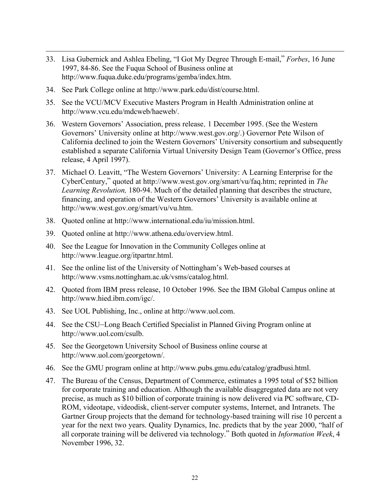- $\overline{a}$ 33. Lisa Gubernick and Ashlea Ebeling, "I Got My Degree Through E-mail," *Forbes*, 16 June 1997, 84-86. See the Fuqua School of Business online at http://www.fuqua.duke.edu/programs/gemba/index.htm.
- 34. See Park College online at http://www.park.edu/dist/course.html.
- 35. See the VCU/MCV Executive Masters Program in Health Administration online at http://www.vcu.edu/mdcweb/haeweb/.
- 36. Western Governors' Association, press release*,* 1 December 1995. (See the Western Governors' University online at http://www.west.gov.org/.) Governor Pete Wilson of California declined to join the Western Governors' University consortium and subsequently established a separate California Virtual University Design Team (Governor's Office, press release, 4 April 1997).
- 37. Michael O. Leavitt, "The Western Governors' University: A Learning Enterprise for the CyberCentury," quoted at http://www.west.gov.org/smart/vu/faq.htm; reprinted in *The Learning Revolution,* 180-94. Much of the detailed planning that describes the structure, financing, and operation of the Western Governors' University is available online at http://www.west.gov.org/smart/vu/vu.htm.
- 38. Quoted online at http://www.international.edu/iu/mission.html.
- 39. Quoted online at http://www.athena.edu/overview.html.
- 40. See the League for Innovation in the Community Colleges online at http://www.league.org/itpartnr.html.
- 41. See the online list of the University of Nottingham's Web-based courses at http://www.vsms.nottingham.ac.uk/vsms/catalog.html.
- 42. Quoted from IBM press release, 10 October 1996. See the IBM Global Campus online at http://www.hied.ibm.com/igc/.
- 43. See UOL Publishing, Inc., online at http://www.uol.com.
- 44. See the CSU–Long Beach Certified Specialist in Planned Giving Program online at http://www.uol.com/csulb.
- 45. See the Georgetown University School of Business online course at http://www.uol.com/georgetown/.
- 46. See the GMU program online at http://www.pubs.gmu.edu/catalog/gradbusi.html.
- 47. The Bureau of the Census, Department of Commerce, estimates a 1995 total of \$52 billion for corporate training and education. Although the available disaggregated data are not very precise, as much as \$10 billion of corporate training is now delivered via PC software, CD-ROM, videotape, videodisk, client-server computer systems, Internet, and Intranets. The Gartner Group projects that the demand for technology-based training will rise 10 percent a year for the next two years. Quality Dynamics, Inc. predicts that by the year 2000, "half of all corporate training will be delivered via technology." Both quoted in *Information Week*, 4 November 1996, 32.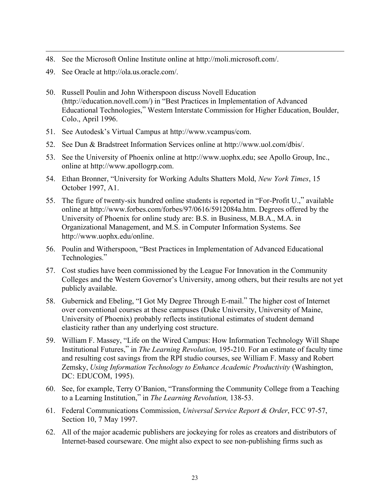- $\overline{a}$ 48. See the Microsoft Online Institute online at http://moli.microsoft.com/.
- 49. See Oracle at http://ola.us.oracle.com/.
- 50. Russell Poulin and John Witherspoon discuss Novell Education (http://education.novell.com/) in "Best Practices in Implementation of Advanced Educational Technologies," Western Interstate Commission for Higher Education, Boulder, Colo., April 1996.
- 51. See Autodesk's Virtual Campus at http://www.vcampus/com.
- 52. See Dun & Bradstreet Information Services online at http://www.uol.com/dbis/.
- 53. See the University of Phoenix online at http://www.uophx.edu; see Apollo Group, Inc., online at http://www.apollogrp.com.
- 54. Ethan Bronner, "University for Working Adults Shatters Mold, *New York Times*, 15 October 1997, A1.
- 55. The figure of twenty-six hundred online students is reported in "For-Profit U.," available online at http://www.forbes.com/forbes/97/0616/5912084a.htm. Degrees offered by the University of Phoenix for online study are: B.S. in Business, M.B.A., M.A. in Organizational Management, and M.S. in Computer Information Systems. See http://www.uophx.edu/online.
- 56. Poulin and Witherspoon, "Best Practices in Implementation of Advanced Educational Technologies."
- 57. Cost studies have been commissioned by the League For Innovation in the Community Colleges and the Western Governor's University, among others, but their results are not yet publicly available.
- 58. Gubernick and Ebeling, "I Got My Degree Through E-mail." The higher cost of Internet over conventional courses at these campuses (Duke University, University of Maine, University of Phoenix) probably reflects institutional estimates of student demand elasticity rather than any underlying cost structure.
- 59. William F. Massey, "Life on the Wired Campus: How Information Technology Will Shape Institutional Futures," in *The Learning Revolution,* 195-210. For an estimate of faculty time and resulting cost savings from the RPI studio courses, see William F. Massy and Robert Zemsky, *Using Information Technology to Enhance Academic Productivity* (Washington, DC: EDUCOM, 1995).
- 60. See, for example, Terry O'Banion, "Transforming the Community College from a Teaching to a Learning Institution," in *The Learning Revolution,* 138-53.
- 61. Federal Communications Commission, *Universal Service Report & Order*, FCC 97-57, Section 10, 7 May 1997.
- 62. All of the major academic publishers are jockeying for roles as creators and distributors of Internet-based courseware. One might also expect to see non-publishing firms such as